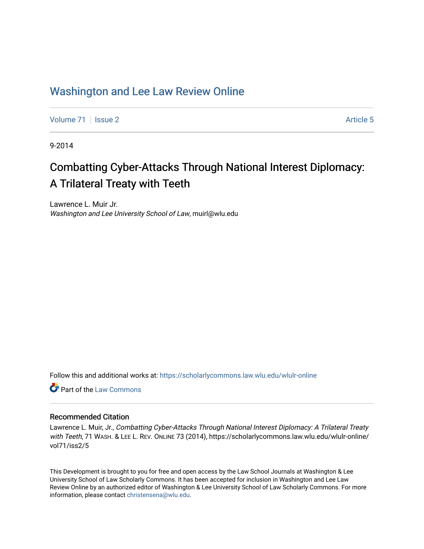# [Washington and Lee Law Review Online](https://scholarlycommons.law.wlu.edu/wlulr-online)

[Volume 71](https://scholarlycommons.law.wlu.edu/wlulr-online/vol71) | [Issue 2](https://scholarlycommons.law.wlu.edu/wlulr-online/vol71/iss2) Article 5

9-2014

# Combatting Cyber-Attacks Through National Interest Diplomacy: A Trilateral Treaty with Teeth

Lawrence L. Muir Jr. Washington and Lee University School of Law, muirl@wlu.edu

Follow this and additional works at: [https://scholarlycommons.law.wlu.edu/wlulr-online](https://scholarlycommons.law.wlu.edu/wlulr-online?utm_source=scholarlycommons.law.wlu.edu%2Fwlulr-online%2Fvol71%2Fiss2%2F5&utm_medium=PDF&utm_campaign=PDFCoverPages) 

**C** Part of the [Law Commons](http://network.bepress.com/hgg/discipline/578?utm_source=scholarlycommons.law.wlu.edu%2Fwlulr-online%2Fvol71%2Fiss2%2F5&utm_medium=PDF&utm_campaign=PDFCoverPages)

# Recommended Citation

Lawrence L. Muir, Jr., Combatting Cyber-Attacks Through National Interest Diplomacy: A Trilateral Treaty with Teeth, 71 WASH. & LEE L. REV. ONLINE 73 (2014), https://scholarlycommons.law.wlu.edu/wlulr-online/ vol71/iss2/5

This Development is brought to you for free and open access by the Law School Journals at Washington & Lee University School of Law Scholarly Commons. It has been accepted for inclusion in Washington and Lee Law Review Online by an authorized editor of Washington & Lee University School of Law Scholarly Commons. For more information, please contact [christensena@wlu.edu](mailto:christensena@wlu.edu).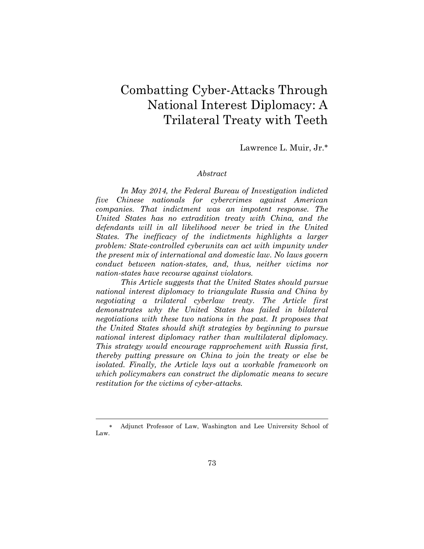# Combatting Cyber-Attacks Through National Interest Diplomacy: A Trilateral Treaty with Teeth

Lawrence L. Muir, Jr.

#### *Abstract*

*In May 2014, the Federal Bureau of Investigation indicted five Chinese nationals for cybercrimes against American companies. That indictment was an impotent response. The United States has no extradition treaty with China, and the defendants will in all likelihood never be tried in the United States. The inefficacy of the indictments highlights a larger problem: State-controlled cyberunits can act with impunity under the present mix of international and domestic law. No laws govern conduct between nation-states, and, thus, neither victims nor nation-states have recourse against violators.*

*This Article suggests that the United States should pursue national interest diplomacy to triangulate Russia and China by negotiating a trilateral cyberlaw treaty. The Article first demonstrates why the United States has failed in bilateral negotiations with these two nations in the past. It proposes that the United States should shift strategies by beginning to pursue national interest diplomacy rather than multilateral diplomacy. This strategy would encourage rapprochement with Russia first, thereby putting pressure on China to join the treaty or else be isolated. Finally, the Article lays out a workable framework on which policymakers can construct the diplomatic means to secure restitution for the victims of cyber-attacks.*

Adjunct Professor of Law, Washington and Lee University School of Law.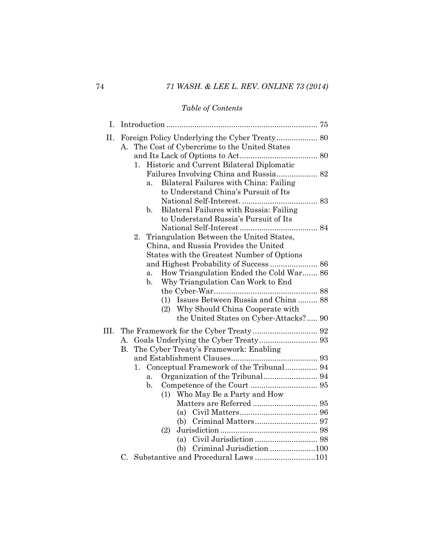# *Table of Contents*

| Ι.   |                                                                                                                                                     |  |
|------|-----------------------------------------------------------------------------------------------------------------------------------------------------|--|
| Π.   | The Cost of Cybercrime to the United States<br>A.                                                                                                   |  |
|      |                                                                                                                                                     |  |
|      | Historic and Current Bilateral Diplomatic<br>1.<br>Bilateral Failures with China: Failing<br>a <sub>1</sub><br>to Understand China's Pursuit of Its |  |
|      | Bilateral Failures with Russia: Failing<br>$\mathbf{b}$ .<br>to Understand Russia's Pursuit of Its                                                  |  |
|      | Triangulation Between the United States,<br>2.<br>China, and Russia Provides the United<br>States with the Greatest Number of Options               |  |
|      |                                                                                                                                                     |  |
|      | How Triangulation Ended the Cold War 86<br>a.<br>Why Triangulation Can Work to End<br>$\mathbf{b}$ .                                                |  |
|      |                                                                                                                                                     |  |
|      | (1) Issues Between Russia and China  88<br>Why Should China Cooperate with<br>(2)                                                                   |  |
|      | the United States on Cyber-Attacks? 90                                                                                                              |  |
| III. |                                                                                                                                                     |  |
|      | A.<br>The Cyber Treaty's Framework: Enabling<br>В.                                                                                                  |  |
|      |                                                                                                                                                     |  |
|      | Conceptual Framework of the Tribunal 94<br>1.                                                                                                       |  |
|      | a.                                                                                                                                                  |  |
|      | $\mathbf{b}$ .                                                                                                                                      |  |
|      | (1) Who May Be a Party and How                                                                                                                      |  |
|      |                                                                                                                                                     |  |
|      |                                                                                                                                                     |  |
|      | (2)                                                                                                                                                 |  |
|      |                                                                                                                                                     |  |
|      |                                                                                                                                                     |  |
|      | C. Substantive and Procedural Laws 101                                                                                                              |  |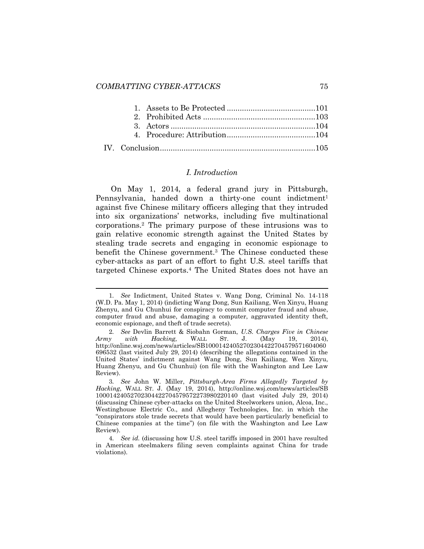l

## <span id="page-3-1"></span>*I. Introduction*

<span id="page-3-0"></span>On May 1, 2014, a federal grand jury in Pittsburgh, Pennsylvania, handed down a thirty-one count indictment<sup>1</sup> against five Chinese military officers alleging that they intruded into six organizations' networks, including five multinational corporations.<sup>2</sup> The primary purpose of these intrusions was to gain relative economic strength against the United States by stealing trade secrets and engaging in economic espionage to benefit the Chinese government.<sup>3</sup> The Chinese conducted these cyber-attacks as part of an effort to fight U.S. steel tariffs that targeted Chinese exports.<sup>4</sup> The United States does not have an

<sup>1</sup>*. See* Indictment, United States v. Wang Dong, Criminal No. 14-118 (W.D. Pa. May 1, 2014) (indicting Wang Dong, Sun Kailiang, Wen Xinyu, Huang Zhenyu, and Gu Chunhui for conspiracy to commit computer fraud and abuse, computer fraud and abuse, damaging a computer, aggravated identity theft, economic espionage, and theft of trade secrets).

<sup>2</sup>*. See* Devlin Barrett & Siobahn Gorman, *U.S. Charges Five in Chinese Army with Hacking,* WALL ST. J. (May 19, 2014), http://online.wsj.com/news/articles/SB10001424052702304422704579571604060 696532 (last visited July 29, 2014) (describing the allegations contained in the United States' indictment against Wang Dong, Sun Kailiang, Wen Xinyu, Huang Zhenyu, and Gu Chunhui) (on file with the Washington and Lee Law Review).

<sup>3</sup>*. See* John W. Miller, *Pittsburgh-Area Firms Allegedly Targeted by Hacking*, WALL ST. J. (May 19, 2014), http://online.wsj.com/news/articles/SB 10001424052702304422704579572273980220140 (last visited July 29, 2014) (discussing Chinese cyber-attacks on the United Steelworkers union, Alcoa, Inc., Westinghouse Electric Co., and Allegheny Technologies, Inc. in which the "conspirators stole trade secrets that would have been particularly beneficial to Chinese companies at the time") (on file with the Washington and Lee Law Review).

<sup>4</sup>*. See id.* (discussing how U.S. steel tariffs imposed in 2001 have resulted in American steelmakers filing seven complaints against China for trade violations).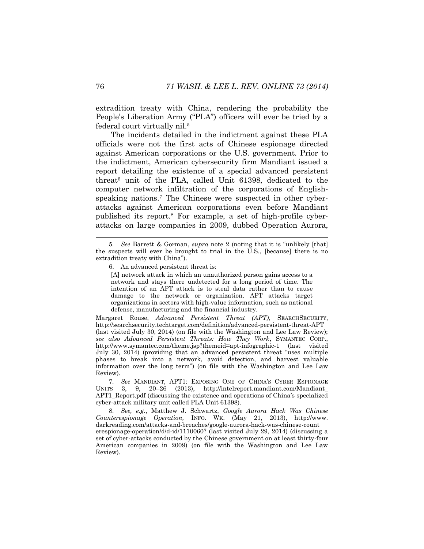extradition treaty with China, rendering the probability the People's Liberation Army ("PLA") officers will ever be tried by a federal court virtually nil.<sup>5</sup>

The incidents detailed in the indictment against these PLA officials were not the first acts of Chinese espionage directed against American corporations or the U.S. government. Prior to the indictment, American cybersecurity firm Mandiant issued a report detailing the existence of a special advanced persistent threat<sup>6</sup> unit of the PLA, called Unit 61398, dedicated to the computer network infiltration of the corporations of Englishspeaking nations.<sup>7</sup> The Chinese were suspected in other cyberattacks against American corporations even before Mandiant published its report.<sup>8</sup> For example, a set of high-profile cyberattacks on large companies in 2009, dubbed Operation Aurora,

[A] network attack in which an unauthorized person gains access to a network and stays there undetected for a long period of time. The intention of an APT attack is to steal data rather than to cause damage to the network or organization. APT attacks target organizations in sectors with high-value information, such as national defense, manufacturing and the financial industry.

Margaret Rouse, *Advanced Persistent Threat (APT)*, SEARCHSECURITY, http://searchsecurity.techtarget.com/definition/advanced-persistent-threat-APT (last visited July 30, 2014) (on file with the Washington and Lee Law Review); *see also Advanced Persistent Threats: How They Work*, SYMANTEC CORP., http://www.symantec.com/theme.jsp?themeid=apt-infographic-1 (last visited July 30, 2014) (providing that an advanced persistent threat "uses multiple phases to break into a network, avoid detection, and harvest valuable information over the long term") (on file with the Washington and Lee Law Review).

7*. See* MANDIANT, APT1: EXPOSING ONE OF CHINA'S CYBER ESPIONAGE 3. 9. 20–26 (2013), http://intelreport.mandiant.com/Mandiant\_ APT1\_Report.pdf (discussing the existence and operations of China's specialized cyber-attack military unit called PLA Unit 61398).

8*. See, e.g.*, Matthew J. Schwartz, *Google Aurora Hack Was Chinese Counterespionage Operation,* INFO. WK. (May 21, 2013), http://www. darkreading.com/attacks-and-breaches/google-aurora-hack-was-chinese-count erespionage-operation/d/d-id/1110060? (last visited July 29, 2014) (discussing a set of cyber-attacks conducted by the Chinese government on at least thirty-four American companies in 2009) (on file with the Washington and Lee Law Review).

<span id="page-4-0"></span><sup>5</sup>*. See* Barrett & Gorman, *supra* note [2](#page-3-0) (noting that it is "unlikely [that] the suspects will ever be brought to trial in the U.S., [because] there is no extradition treaty with China").

<sup>6.</sup> An advanced persistent threat is: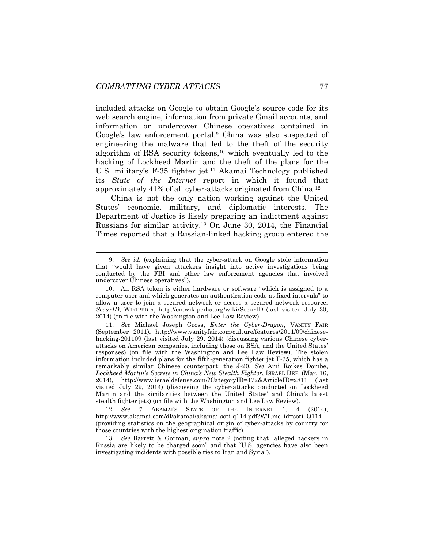included attacks on Google to obtain Google's source code for its web search engine, information from private Gmail accounts, and information on undercover Chinese operatives contained in Google's law enforcement portal.<sup>9</sup> China was also suspected of engineering the malware that led to the theft of the security algorithm of RSA security tokens,<sup>10</sup> which eventually led to the hacking of Lockheed Martin and the theft of the plans for the U.S. military's F-35 fighter jet.<sup>11</sup> Akamai Technology published its *State of the Internet* report in which it found that approximately 41% of all cyber-attacks originated from China.<sup>12</sup>

China is not the only nation working against the United States' economic, military, and diplomatic interests. The Department of Justice is likely preparing an indictment against Russians for similar activity.<sup>13</sup> On June 30, 2014, the Financial Times reported that a Russian-linked hacking group entered the

12*. See* 7 AKAMAI'S STATE OF THE INTERNET 1, 4 (2014), http://www.akamai.com/dl/akamai/akamai-soti-q114.pdf?WT.mc\_id=soti\_Q114 (providing statistics on the geographical origin of cyber-attacks by country for those countries with the highest origination traffic).

13*. See* Barrett & Gorman, *supra* note [2](#page-3-0) (noting that "alleged hackers in Russia are likely to be charged soon" and that "U.S. agencies have also been investigating incidents with possible ties to Iran and Syria").

<sup>9</sup>*. See id.* (explaining that the cyber-attack on Google stole information that "would have given attackers insight into active investigations being conducted by the FBI and other law enforcement agencies that involved undercover Chinese operatives").

<sup>10.</sup> An RSA token is either hardware or software "which is assigned to a computer user and which generates an authentication code at fixed intervals" to allow a user to join a secured network or access a secured network resource. *SecurID*, WIKIPEDIA, http://en.wikipedia.org/wiki/SecurID (last visited July 30, 2014) (on file with the Washington and Lee Law Review).

<sup>11</sup>*. See* Michael Joseph Gross, *Enter the Cyber-Dragon,* VANITY FAIR (September 2011), http://www.vanityfair.com/culture/features/2011/09/chinesehacking-201109 (last visited July 29, 2014) (discussing various Chinese cyberattacks on American companies, including those on RSA, and the United States' responses) (on file with the Washington and Lee Law Review). The stolen information included plans for the fifth-generation fighter jet F-35, which has a remarkably similar Chinese counterpart: the J-20. *See* Ami Rojkes Dombe, *Lockheed Martin's Secrets in China's New Stealth Fighter*, ISRAEL DEF. (Mar. 16, 2014), http://www.israeldefense.com/?CategoryID=472&ArticleID=2811 (last visited July 29, 2014) (discussing the cyber-attacks conducted on Lockheed Martin and the similarities between the United States' and China's latest stealth fighter jets) (on file with the Washington and Lee Law Review).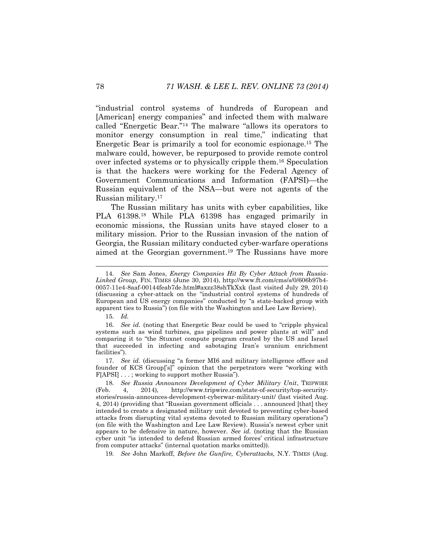"industrial control systems of hundreds of European and [American] energy companies" and infected them with malware called "Energetic Bear."<sup>14</sup> The malware "allows its operators to monitor energy consumption in real time," indicating that Energetic Bear is primarily a tool for economic espionage.<sup>15</sup> The malware could, however, be repurposed to provide remote control over infected systems or to physically cripple them.<sup>16</sup> Speculation is that the hackers were working for the Federal Agency of Government Communications and Information (FAPSI)—the Russian equivalent of the NSA—but were not agents of the Russian military.<sup>17</sup>

The Russian military has units with cyber capabilities, like PLA 61398.<sup>18</sup> While PLA 61398 has engaged primarily in economic missions, the Russian units have stayed closer to a military mission. Prior to the Russian invasion of the nation of Georgia, the Russian military conducted cyber-warfare operations aimed at the Georgian government.<sup>19</sup> The Russians have more

15*. Id.*

l

17*. See id.* (discussing "a former MI6 and military intelligence officer and founder of KCS Group['s]" opinion that the perpetrators were "working with F[APSI] . . . ; working to support mother Russia").

19*. See* John Markoff, *Before the Gunfire, Cyberattacks,* N.Y. TIMES (Aug.

<sup>14</sup>*. See* Sam Jones, *Energy Companies Hit By Cyber Attack from Russia-Linked Group,* FIN. TIMES (June 30, 2014), http://www.ft.com/cms/s/0/606b97b4- 0057-11e4-8aaf-00144feab7de.html#axzz38shTkXxk (last visited July 29, 2014) (discussing a cyber-attack on the "industrial control systems of hundreds of European and US energy companies" conducted by "a state-backed group with apparent ties to Russia") (on file with the Washington and Lee Law Review).

<sup>16</sup>*. See id.* (noting that Energetic Bear could be used to "cripple physical systems such as wind turbines, gas pipelines and power plants at will" and comparing it to "the Stuxnet compute program created by the US and Israel that succeeded in infecting and sabotaging Iran's uranium enrichment facilities").

<sup>18</sup>*. See Russia Announces Development of Cyber Military Unit*, TRIPWIRE (Feb. 4, 2014), http://www.tripwire.com/state-of-security/top-securitystories/russia-announces-development-cyberwar-military-unit/ (last visited Aug. 4, 2014) (providing that "Russian government officials . . . announced [that] they intended to create a designated military unit devoted to preventing cyber-based attacks from disrupting vital systems devoted to Russian military operations") (on file with the Washington and Lee Law Review). Russia's newest cyber unit appears to be defensive in nature, however. *See id.* (noting that the Russian cyber unit "is intended to defend Russian armed forces' critical infrastructure from computer attacks" (internal quotation marks omitted)).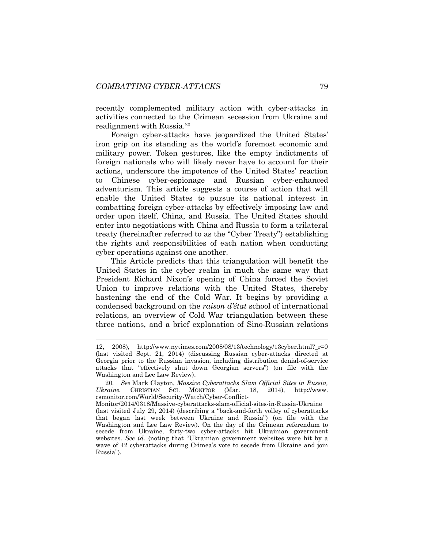recently complemented military action with cyber-attacks in activities connected to the Crimean secession from Ukraine and realignment with Russia.<sup>20</sup>

Foreign cyber-attacks have jeopardized the United States' iron grip on its standing as the world's foremost economic and military power. Token gestures, like the empty indictments of foreign nationals who will likely never have to account for their actions, underscore the impotence of the United States' reaction to Chinese cyber-espionage and Russian cyber-enhanced adventurism. This article suggests a course of action that will enable the United States to pursue its national interest in combatting foreign cyber-attacks by effectively imposing law and order upon itself, China, and Russia. The United States should enter into negotiations with China and Russia to form a trilateral treaty (hereinafter referred to as the "Cyber Treaty") establishing the rights and responsibilities of each nation when conducting cyber operations against one another.

This Article predicts that this triangulation will benefit the United States in the cyber realm in much the same way that President Richard Nixon's opening of China forced the Soviet Union to improve relations with the United States, thereby hastening the end of the Cold War. It begins by providing a condensed background on the *raison d'état* school of international relations, an overview of Cold War triangulation between these three nations, and a brief explanation of Sino-Russian relations

<sup>12, 2008),</sup> http://www.nytimes.com/2008/08/13/technology/13cyber.html?\_r=0 (last visited Sept. 21, 2014) (discussing Russian cyber-attacks directed at Georgia prior to the Russian invasion, including distribution denial-of-service attacks that "effectively shut down Georgian servers") (on file with the Washington and Lee Law Review).

<sup>20</sup>*. See* Mark Clayton, *Massive Cyberattacks Slam Official Sites in Russia, Ukraine.* CHRISTIAN SCI. MONITOR (Mar. 18, 2014), http://www. csmonitor.com/World/Security-Watch/Cyber-Conflict-

Monitor/2014/0318/Massive-cyberattacks-slam-official-sites-in-Russia-Ukraine (last visited July 29, 2014) (describing a "back-and-forth volley of cyberattacks that began last week between Ukraine and Russia") (on file with the Washington and Lee Law Review). On the day of the Crimean referendum to secede from Ukraine, forty-two cyber-attacks hit Ukrainian government websites. *See id.* (noting that "Ukrainian government websites were hit by a wave of 42 cyberattacks during Crimea's vote to secede from Ukraine and join Russia").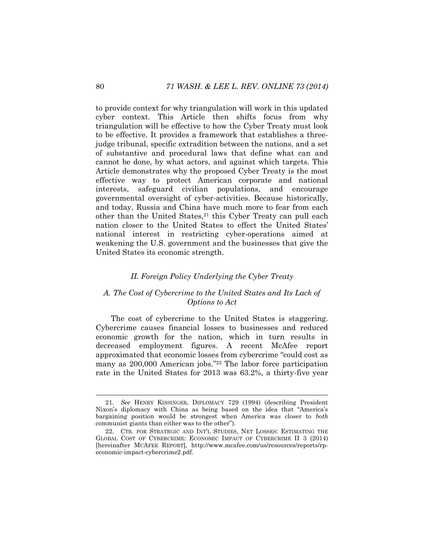to provide context for why triangulation will work in this updated cyber context. This Article then shifts focus from why triangulation will be effective to how the Cyber Treaty must look to be effective. It provides a framework that establishes a threejudge tribunal, specific extradition between the nations, and a set of substantive and procedural laws that define what can and cannot be done, by what actors, and against which targets. This Article demonstrates why the proposed Cyber Treaty is the most effective way to protect American corporate and national interests, safeguard civilian populations, and encourage governmental oversight of cyber-activities. Because historically, and today, Russia and China have much more to fear from each other than the United States,<sup>21</sup> this Cyber Treaty can pull each nation closer to the United States to effect the United States' national interest in restricting cyber-operations aimed at weakening the U.S. government and the businesses that give the United States its economic strength.

# <span id="page-8-1"></span><span id="page-8-0"></span>*II. Foreign Policy Underlying the Cyber Treaty*

# *A. The Cost of Cybercrime to the United States and Its Lack of Options to Act*

The cost of cybercrime to the United States is staggering. Cybercrime causes financial losses to businesses and reduced economic growth for the nation, which in turn results in decreased employment figures. A recent McAfee report approximated that economic losses from cybercrime "could cost as many as 200,000 American jobs."<sup>22</sup> The labor force participation rate in the United States for 2013 was 63.2%, a thirty-five year

<sup>21</sup>*. See* HENRY KISSINGER, DIPLOMACY 729 (1994) (describing President Nixon's diplomacy with China as being based on the idea that "America's bargaining position would be strongest when America was closer to *both* communist giants than either was to the other").

<sup>22.</sup> CTR. FOR STRATEGIC AND INT'L STUDIES, NET LOSSES: ESTIMATING THE GLOBAL COST OF CYBERCRIME: ECONOMIC IMPACT OF CYBERCRIME II 3 (2014) [hereinafter MCAFEE REPORT], http://www.mcafee.com/us/resources/reports/rpeconomic-impact-cybercrime2.pdf.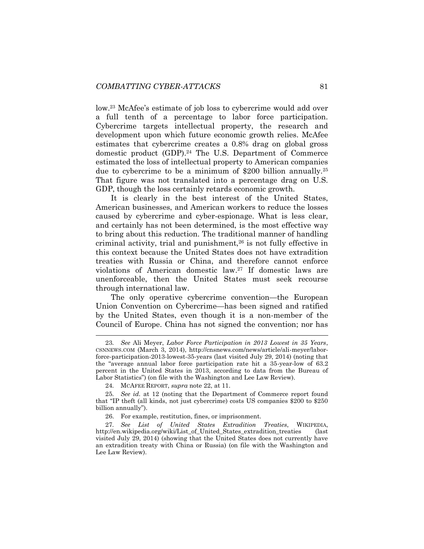low.<sup>23</sup> McAfee's estimate of job loss to cybercrime would add over a full tenth of a percentage to labor force participation. Cybercrime targets intellectual property, the research and development upon which future economic growth relies. McAfee estimates that cybercrime creates a 0.8% drag on global gross domestic product (GDP).<sup>24</sup> The U.S. Department of Commerce estimated the loss of intellectual property to American companies due to cybercrime to be a minimum of \$200 billion annually.<sup>25</sup> That figure was not translated into a percentage drag on U.S. GDP, though the loss certainly retards economic growth.

It is clearly in the best interest of the United States, American businesses, and American workers to reduce the losses caused by cybercrime and cyber-espionage. What is less clear, and certainly has not been determined, is the most effective way to bring about this reduction. The traditional manner of handling criminal activity, trial and punishment,<sup>26</sup> is not fully effective in this context because the United States does not have extradition treaties with Russia or China, and therefore cannot enforce violations of American domestic law.<sup>27</sup> If domestic laws are unenforceable, then the United States must seek recourse through international law.

The only operative cybercrime convention—the European Union Convention on Cybercrime—has been signed and ratified by the United States, even though it is a non-member of the Council of Europe. China has not signed the convention; nor has

<sup>23</sup>*. See* Ali Meyer, *Labor Force Participation in 2013 Lowest in 35 Years*, CSNNEWS.COM (March 3, 2014), http://cnsnews.com/news/article/ali-meyer/laborforce-participation-2013-lowest-35-years (last visited July 29, 2014) (noting that the "average annual labor force participation rate hit a 35-year-low of 63.2 percent in the United States in 2013, according to data from the Bureau of Labor Statistics") (on file with the Washington and Lee Law Review).

<sup>24</sup>*.* MCAFEE REPORT, *supra* note [22,](#page-8-0) at 11.

<sup>25</sup>*. See id.* at 12 (noting that the Department of Commerce report found that "IP theft (all kinds, not just cybercrime) costs US companies \$200 to \$250 billion annually").

<sup>26.</sup> For example, restitution, fines, or imprisonment.

<sup>27</sup>*. See List of United States Extradition Treaties*, WIKIPEDIA, http://en.wikipedia.org/wiki/List\_of\_United\_States\_extradition\_treaties (last visited July 29, 2014) (showing that the United States does not currently have an extradition treaty with China or Russia) (on file with the Washington and Lee Law Review).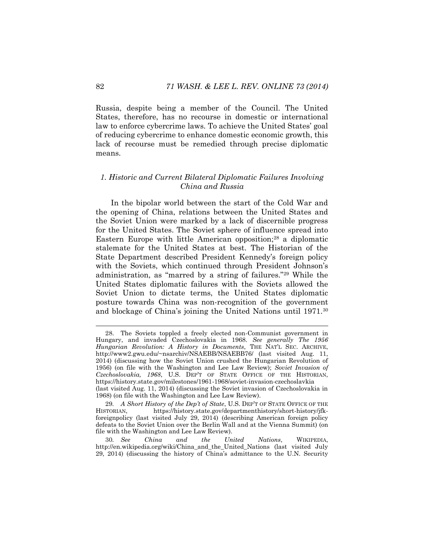Russia, despite being a member of the Council. The United States, therefore, has no recourse in domestic or international law to enforce cybercrime laws. To achieve the United States' goal of reducing cybercrime to enhance domestic economic growth, this lack of recourse must be remedied through precise diplomatic means.

## *1. Historic and Current Bilateral Diplomatic Failures Involving China and Russia*

<span id="page-10-0"></span>In the bipolar world between the start of the Cold War and the opening of China, relations between the United States and the Soviet Union were marked by a lack of discernible progress for the United States. The Soviet sphere of influence spread into Eastern Europe with little American opposition;<sup>28</sup> a diplomatic stalemate for the United States at best. The Historian of the State Department described President Kennedy's foreign policy with the Soviets, which continued through President Johnson's administration, as "marred by a string of failures."<sup>29</sup> While the United States diplomatic failures with the Soviets allowed the Soviet Union to dictate terms, the United States diplomatic posture towards China was non-recognition of the government and blockage of China's joining the United Nations until 1971.<sup>30</sup>

<sup>28.</sup> The Soviets toppled a freely elected non-Communist government in Hungary, and invaded Czechoslovakia in 1968. *See generally The 1956 Hungarian Revolution: A History in Documents*, THE NAT'L SEC. ARCHIVE, http://www2.gwu.edu/~nsarchiv/NSAEBB/NSAEBB76/ (last visited Aug. 11, 2014) (discussing how the Soviet Union crushed the Hungarian Revolution of 1956) (on file with the Washington and Lee Law Review); *Soviet Invasion of Czechoslovakia, 1968*, U.S. DEP'T OF STATE OFFICE OF THE HISTORIAN, https://history.state.gov/milestones/1961-1968/soviet-invasion-czechoslavkia (last visited Aug. 11, 2014) (discussing the Soviet invasion of Czechoslovakia in 1968) (on file with the Washington and Lee Law Review).

<sup>29</sup>*. A Short History of the Dep't of State*, U.S. DEP'T OF STATE OFFICE OF THE HISTORIAN, https://history.state.gov/departmenthistory/short-history/jfkforeignpolicy (last visited July 29, 2014) (describing American foreign policy defeats to the Soviet Union over the Berlin Wall and at the Vienna Summit) (on file with the Washington and Lee Law Review).

<sup>30</sup>*. See China and the United Nations*, WIKIPEDIA, http://en.wikipedia.org/wiki/China\_and\_the\_United\_Nations (last visited July 29, 2014) (discussing the history of China's admittance to the U.N. Security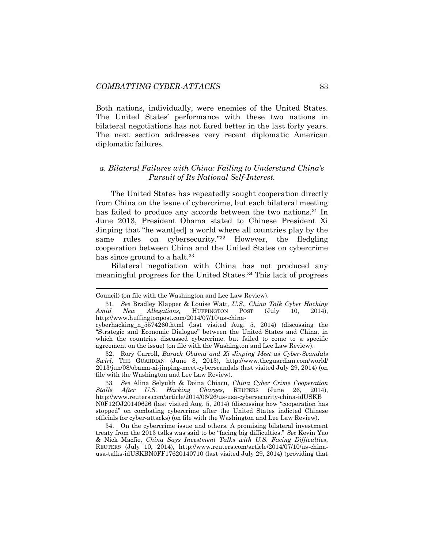Both nations, individually, were enemies of the United States. The United States' performance with these two nations in bilateral negotiations has not fared better in the last forty years. The next section addresses very recent diplomatic American diplomatic failures.

# *a. Bilateral Failures with China: Failing to Understand China's Pursuit of Its National Self-Interest.*

The United States has repeatedly sought cooperation directly from China on the issue of cybercrime, but each bilateral meeting has failed to produce any accords between the two nations.<sup>31</sup> In June 2013, President Obama stated to Chinese President Xi Jinping that "he want[ed] a world where all countries play by the same rules on cybersecurity."<sup>32</sup> However, the fledgling cooperation between China and the United States on cybercrime has since ground to a halt.<sup>33</sup>

Bilateral negotiation with China has not produced any meaningful progress for the United States.<sup>34</sup> This lack of progress

l

33*. See* Alina Selyukh & Doina Chiacu, *China Cyber Crime Cooperation Stalls After U.S. Hacking Charges*, REUTERS (June 26, 2014), http://www.reuters.com/article/2014/06/26/us-usa-cybersecurity-china-idUSKB N0F12OJ20140626 (last visited Aug. 5, 2014) (discussing how "cooperation has stopped" on combating cybercrime after the United States indicted Chinese officials for cyber-attacks) (on file with the Washington and Lee Law Review).

34. On the cybercrime issue and others. A promising bilateral investment treaty from the 2013 talks was said to be "facing big difficulties." *See* Kevin Yao & Nick Macfie, *China Says Investment Talks with U.S. Facing Difficulties*, REUTERS (July 10, 2014), http://www.reuters.com/article/2014/07/10/us-chinausa-talks-idUSKBN0FF17620140710 (last visited July 29, 2014) (providing that

Council) (on file with the Washington and Lee Law Review).

<sup>31</sup>*. See* Bradley Klapper & Louise Watt, *U.S., China Talk Cyber Hacking Amid New Allegations,* HUFFINGTON POST (July 10, 2014), http://www.huffingtonpost.com/2014/07/10/us-china-

cyberhacking\_n\_5574260.html (last visited Aug. 5, 2014) (discussing the "Strategic and Economic Dialogue" between the United States and China, in which the countries discussed cybercrime, but failed to come to a specific agreement on the issue) (on file with the Washington and Lee Law Review).

<sup>32.</sup> Rory Carroll, *Barack Obama and Xi Jinping Meet as Cyber-Scandals Swirl,* THE GUARDIAN (June 8, 2013), http://www.theguardian.com/world/ 2013/jun/08/obama-xi-jinping-meet-cyberscandals (last visited July 29, 2014) (on file with the Washington and Lee Law Review).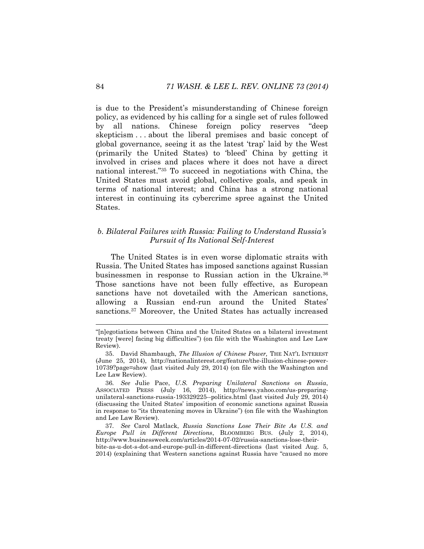is due to the President's misunderstanding of Chinese foreign policy, as evidenced by his calling for a single set of rules followed by all nations. Chinese foreign policy reserves "deep skepticism . . . about the liberal premises and basic concept of global governance, seeing it as the latest 'trap' laid by the West (primarily the United States) to 'bleed' China by getting it involved in crises and places where it does not have a direct national interest."<sup>35</sup> To succeed in negotiations with China, the United States must avoid global, collective goals, and speak in terms of national interest; and China has a strong national interest in continuing its cybercrime spree against the United States.

# <span id="page-12-0"></span>*b. Bilateral Failures with Russia: Failing to Understand Russia's Pursuit of Its National Self-Interest*

The United States is in even worse diplomatic straits with Russia. The United States has imposed sanctions against Russian businessmen in response to Russian action in the Ukraine.<sup>36</sup> Those sanctions have not been fully effective, as European sanctions have not dovetailed with the American sanctions, allowing a Russian end-run around the United States' sanctions.<sup>37</sup> Moreover, the United States has actually increased

<sup>&</sup>quot;[n]egotiations between China and the United States on a bilateral investment treaty [were] facing big difficulties") (on file with the Washington and Lee Law Review).

<sup>35.</sup> David Shambaugh, *The Illusion of Chinese Power,* THE NAT'L INTEREST (June 25, 2014), http://nationalinterest.org/feature/the-illusion-chinese-power-10739?page=show (last visited July 29, 2014) (on file with the Washington and Lee Law Review).

<sup>36</sup>*. See* Julie Pace, *U.S. Preparing Unilateral Sanctions on Russia*, ASSOCIATED PRESS (July 16, 2014), http://news.yahoo.com/us-preparingunilateral-sanctions-russia-193329225--politics.html (last visited July 29, 2014) (discussing the United States' imposition of economic sanctions against Russia in response to "its threatening moves in Ukraine") (on file with the Washington and Lee Law Review).

<sup>37</sup>*. See* Carol Matlack, *Russia Sanctions Lose Their Bite As U.S. and Europe Pull in Different Directions*, BLOOMBERG BUS. (July 2, 2014), http://www.businessweek.com/articles/2014-07-02/russia-sanctions-lose-theirbite-as-u-dot-s-dot-and-europe-pull-in-different-directions (last visited Aug. 5,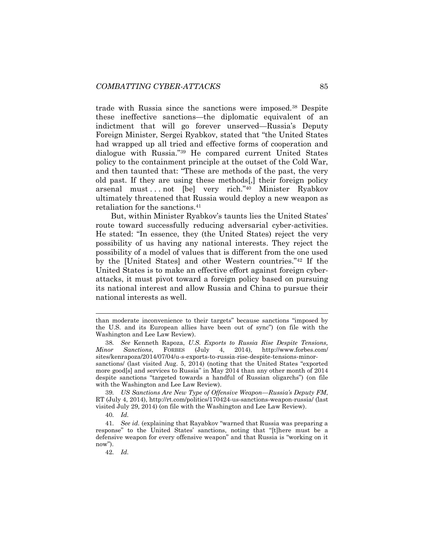trade with Russia since the sanctions were imposed.<sup>38</sup> Despite these ineffective sanctions—the diplomatic equivalent of an indictment that will go forever unserved—Russia's Deputy Foreign Minister, Sergei Ryabkov, stated that "the United States had wrapped up all tried and effective forms of cooperation and dialogue with Russia."<sup>39</sup> He compared current United States policy to the containment principle at the outset of the Cold War, and then taunted that: "These are methods of the past, the very old past. If they are using these methods[,] their foreign policy arsenal must . . . not [be] very rich."<sup>40</sup> Minister Ryabkov ultimately threatened that Russia would deploy a new weapon as retaliation for the sanctions.<sup>41</sup>

But, within Minister Ryabkov's taunts lies the United States' route toward successfully reducing adversarial cyber-activities. He stated: "In essence, they (the United States) reject the very possibility of us having any national interests. They reject the possibility of a model of values that is different from the one used by the [United States] and other Western countries."<sup>42</sup> If the United States is to make an effective effort against foreign cyberattacks, it must pivot toward a foreign policy based on pursuing its national interest and allow Russia and China to pursue their national interests as well.

than moderate inconvenience to their targets" because sanctions "imposed by the U.S. and its European allies have been out of sync") (on file with the Washington and Lee Law Review).

<sup>38</sup>*. See* Kenneth Rapoza, *U.S. Exports to Russia Rise Despite Tensions, Minor Sanctions*, FORBES (July 4, 2014), http://www.forbes.com/ sites/kenrapoza/2014/07/04/u-s-exports-to-russia-rise-despite-tensions-minorsanctions/ (last visited Aug. 5, 2014) (noting that the United States "exported more good[s] and services to Russia" in May 2014 than any other month of 2014 despite sanctions "targeted towards a handful of Russian oligarchs") (on file with the Washington and Lee Law Review).

<sup>39</sup>*. US Sanctions Are New Type of Offensive Weapon—Russia's Deputy FM*, RT (July 4, 2014), http://rt.com/politics/170424-us-sanctions-weapon-russia/ (last visited July 29, 2014) (on file with the Washington and Lee Law Review).

<sup>40</sup>*. Id.*

<sup>41</sup>*. See id.* (explaining that Rayabkov "warned that Russia was preparing a response" to the United States' sanctions, noting that "[t]here must be a defensive weapon for every offensive weapon" and that Russia is "working on it now").

<sup>42</sup>*. Id.*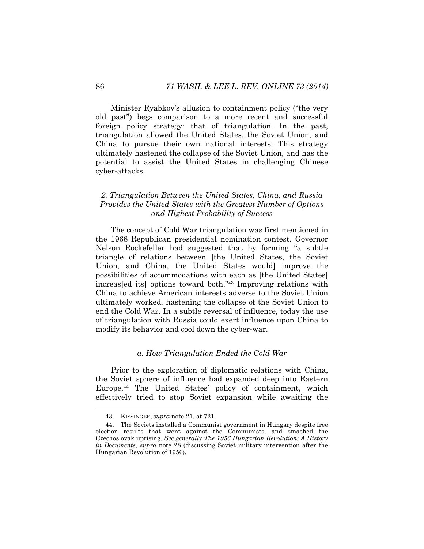Minister Ryabkov's allusion to containment policy ("the very old past") begs comparison to a more recent and successful foreign policy strategy: that of triangulation. In the past, triangulation allowed the United States, the Soviet Union, and China to pursue their own national interests. This strategy ultimately hastened the collapse of the Soviet Union, and has the potential to assist the United States in challenging Chinese cyber-attacks.

# *2. Triangulation Between the United States, China, and Russia Provides the United States with the Greatest Number of Options and Highest Probability of Success*

The concept of Cold War triangulation was first mentioned in the 1968 Republican presidential nomination contest. Governor Nelson Rockefeller had suggested that by forming "a subtle triangle of relations between [the United States, the Soviet Union, and China, the United States would] improve the possibilities of accommodations with each as [the United States] increas[ed its] options toward both."<sup>43</sup> Improving relations with China to achieve American interests adverse to the Soviet Union ultimately worked, hastening the collapse of the Soviet Union to end the Cold War. In a subtle reversal of influence, today the use of triangulation with Russia could exert influence upon China to modify its behavior and cool down the cyber-war.

# *a. How Triangulation Ended the Cold War*

Prior to the exploration of diplomatic relations with China, the Soviet sphere of influence had expanded deep into Eastern Europe.<sup>44</sup> The United States' policy of containment, which effectively tried to stop Soviet expansion while awaiting the

<sup>43</sup>*.* KISSINGER, *supra* note [21,](#page-8-1) at 721.

<sup>44.</sup> The Soviets installed a Communist government in Hungary despite free election results that went against the Communists, and smashed the Czechoslovak uprising. *See generally The 1956 Hungarian Revolution: A History in Documents*, *supra* note [28](#page-10-0) (discussing Soviet military intervention after the Hungarian Revolution of 1956).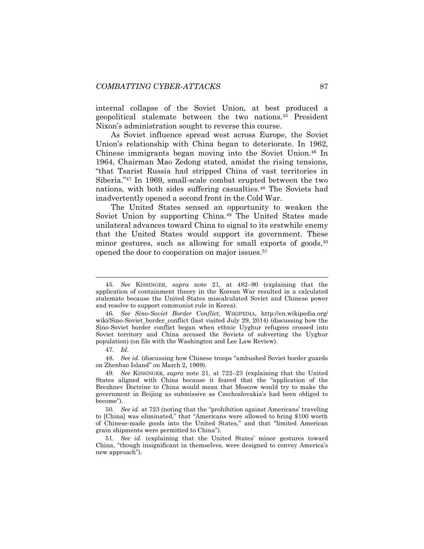internal collapse of the Soviet Union, at best produced a geopolitical stalemate between the two nations.<sup>45</sup> President Nixon's administration sought to reverse this course.

As Soviet influence spread west across Europe, the Soviet Union's relationship with China began to deteriorate. In 1962, Chinese immigrants began moving into the Soviet Union.<sup>46</sup> In 1964, Chairman Mao Zedong stated, amidst the rising tensions, "that Tsarist Russia had stripped China of vast territories in Siberia."<sup>47</sup> In 1969, small-scale combat erupted between the two nations, with both sides suffering casualties.<sup>48</sup> The Soviets had inadvertently opened a second front in the Cold War.

<span id="page-15-0"></span>The United States sensed an opportunity to weaken the Soviet Union by supporting China.<sup>49</sup> The United States made unilateral advances toward China to signal to its erstwhile enemy that the United States would support its government. These minor gestures, such as allowing for small exports of goods,  $50$ opened the door to cooperation on major issues.<sup>51</sup>

47*. Id*.

48*. See id.* (discussing how Chinese troops "ambushed Soviet border guards on Zhenbao Island" on March 2, 1969).

49*. See* KISSINGER, *supra* note [21,](#page-8-1) at 722–23 (explaining that the United States aligned with China because it feared that the "application of the Brezhnev Doctrine to China would mean that Moscow would try to make the government in Beijing as submissive as Czechoslovakia's had been obliged to become").

50*. See id.* at 723 (noting that the "prohibition against Americans' traveling to [China] was eliminated," that "Americans were allowed to bring \$100 worth of Chinese-made goods into the United States," and that "limited American grain shipments were permitted to China").

51*. See id.* (explaining that the United States' minor gestures toward China, "though insignificant in themselves, were designed to convey America's new approach").

<sup>45</sup>*. See* KISSINGER, *supra* note [21,](#page-8-1) at 482–90 (explaining that the application of containment theory in the Korean War resulted in a calculated stalemate because the United States miscalculated Soviet and Chinese power and resolve to support communist rule in Korea).

<sup>46</sup>*. See Sino-Soviet Border Conflict*, WIKIPEDIA, http://en.wikipedia.org/ wiki/Sino-Soviet border conflict (last visited July 29, 2014) (discussing how the Sino-Soviet border conflict began when ethnic Uyghur refugees crossed into Soviet territory and China accused the Soviets of subverting the Uyghur population) (on file with the Washington and Lee Law Review).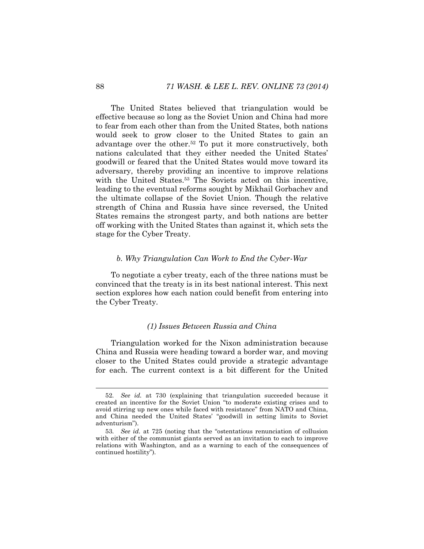The United States believed that triangulation would be effective because so long as the Soviet Union and China had more to fear from each other than from the United States, both nations would seek to grow closer to the United States to gain an advantage over the other.<sup>52</sup> To put it more constructively, both nations calculated that they either needed the United States' goodwill or feared that the United States would move toward its adversary, thereby providing an incentive to improve relations with the United States.<sup>53</sup> The Soviets acted on this incentive, leading to the eventual reforms sought by Mikhail Gorbachev and the ultimate collapse of the Soviet Union. Though the relative strength of China and Russia have since reversed, the United States remains the strongest party, and both nations are better off working with the United States than against it, which sets the stage for the Cyber Treaty.

#### *b. Why Triangulation Can Work to End the Cyber-War*

To negotiate a cyber treaty, each of the three nations must be convinced that the treaty is in its best national interest. This next section explores how each nation could benefit from entering into the Cyber Treaty.

#### *(1) Issues Between Russia and China*

Triangulation worked for the Nixon administration because China and Russia were heading toward a border war, and moving closer to the United States could provide a strategic advantage for each. The current context is a bit different for the United

<sup>52</sup>*. See id.* at 730 (explaining that triangulation succeeded because it created an incentive for the Soviet Union "to moderate existing crises and to avoid stirring up new ones while faced with resistance" from NATO and China, and China needed the United States' "goodwill in setting limits to Soviet adventurism").

<sup>53</sup>*. See id.* at 725 (noting that the "ostentatious renunciation of collusion with either of the communist giants served as an invitation to each to improve relations with Washington, and as a warning to each of the consequences of continued hostility").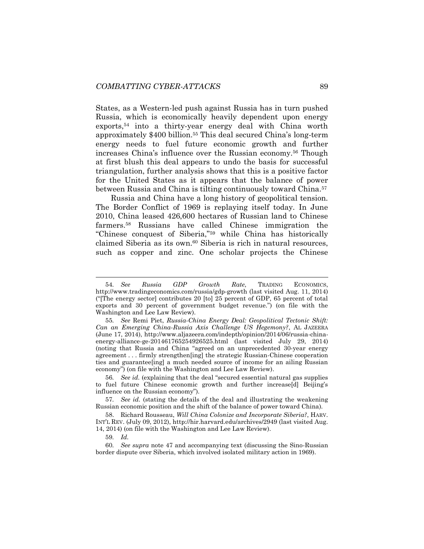<span id="page-17-1"></span>States, as a Western-led push against Russia has in turn pushed Russia, which is economically heavily dependent upon energy exports,<sup>54</sup> into a thirty-year energy deal with China worth approximately \$400 billion.<sup>55</sup> This deal secured China's long-term energy needs to fuel future economic growth and further increases China's influence over the Russian economy.<sup>56</sup> Though at first blush this deal appears to undo the basis for successful triangulation, further analysis shows that this is a positive factor for the United States as it appears that the balance of power between Russia and China is tilting continuously toward China.<sup>57</sup>

<span id="page-17-0"></span>Russia and China have a long history of geopolitical tension. The Border Conflict of 1969 is replaying itself today. In June 2010, China leased 426,600 hectares of Russian land to Chinese farmers.<sup>58</sup> Russians have called Chinese immigration the "Chinese conquest of Siberia,"<sup>59</sup> while China has historically claimed Siberia as its own.<sup>60</sup> Siberia is rich in natural resources, such as copper and zinc. One scholar projects the Chinese

56*. See id.* (explaining that the deal "secured essential natural gas supplies to fuel future Chinese economic growth and further increase[d] Beijing's influence on the Russian economy").

57*. See id.* (stating the details of the deal and illustrating the weakening Russian economic position and the shift of the balance of power toward China).

58. Richard Rousseau, *Will China Colonize and Incorporate Siberia?*, HARV. INT'L REV. (July 09, 2012), http://hir.harvard.edu/archives/2949 (last visited Aug. 14, 2014) (on file with the Washington and Lee Law Review).

<sup>54</sup>*. See Russia GDP Growth Rate*, TRADING ECONOMICS, http://www.tradingeconomics.com/russia/gdp-growth (last visited Aug. 11, 2014) ("[The energy sector] contributes 20 [to] 25 percent of GDP, 65 percent of total exports and 30 percent of government budget revenue.") (on file with the Washington and Lee Law Review).

<sup>55</sup>*. See* Remi Piet, *Russia-China Energy Deal: Geopolitical Tectonic Shift: Can an Emerging China-Russia Axis Challenge US Hegemony?*, AL JAZEERA (June 17, 2014), http://www.aljazeera.com/indepth/opinion/2014/06/russia-chinaenergy-alliance-ge-201461765254926525.html (last visited July 29, 2014) (noting that Russia and China "agreed on an unprecedented 30-year energy agreement . . . firmly strengthen[ing] the strategic Russian-Chinese cooperation ties and guarantee[ing] a much needed source of income for an ailing Russian economy") (on file with the Washington and Lee Law Review).

<sup>59</sup>*. Id.*

<sup>60</sup>*. See supra* note [47](#page-15-0) and accompanying text (discussing the Sino-Russian border dispute over Siberia, which involved isolated military action in 1969).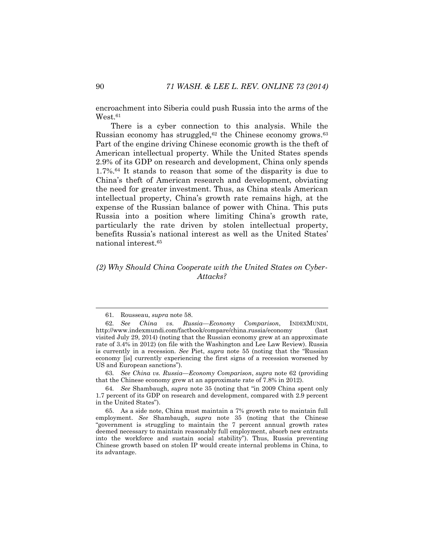encroachment into Siberia could push Russia into the arms of the  $West.<sup>61</sup>$ 

<span id="page-18-0"></span>There is a cyber connection to this analysis. While the Russian economy has struggled, $62$  the Chinese economy grows.  $63$ Part of the engine driving Chinese economic growth is the theft of American intellectual property. While the United States spends 2.9% of its GDP on research and development, China only spends 1.7%.<sup>64</sup> It stands to reason that some of the disparity is due to China's theft of American research and development, obviating the need for greater investment. Thus, as China steals American intellectual property, China's growth rate remains high, at the expense of the Russian balance of power with China. This puts Russia into a position where limiting China's growth rate, particularly the rate driven by stolen intellectual property, benefits Russia's national interest as well as the United States' national interest.<sup>65</sup>

# *(2) Why Should China Cooperate with the United States on Cyber-Attacks?*

63*. See China vs. Russia—Economy Comparison*, *supra* note [62](#page-18-0) (providing that the Chinese economy grew at an approximate rate of 7.8% in 2012).

<sup>61</sup>*.* Rousseau, *supra* note [58.](#page-17-0)

<sup>62</sup>*. See China vs. Russia—Economy Comparison*, INDEXMUNDI, http://www.indexmundi.com/factbook/compare/china.russia/economy (last visited July 29, 2014) (noting that the Russian economy grew at an approximate rate of 3.4% in 2012) (on file with the Washington and Lee Law Review). Russia is currently in a recession. *See* Piet, *supra* note [55](#page-17-1) (noting that the "Russian economy [is] currently experiencing the first signs of a recession worsened by US and European sanctions").

<sup>64</sup>*. See* Shambaugh, *supra* note [35](#page-12-0) (noting that "in 2009 China spent only 1.7 percent of its GDP on research and development, compared with 2.9 percent in the United States").

<sup>65.</sup> As a side note, China must maintain a 7% growth rate to maintain full employment. *See* Shambaugh, *supra* note [35](#page-12-0) (noting that the Chinese "government is struggling to maintain the 7 percent annual growth rates deemed necessary to maintain reasonably full employment, absorb new entrants into the workforce and sustain social stability"). Thus, Russia preventing Chinese growth based on stolen IP would create internal problems in China, to its advantage.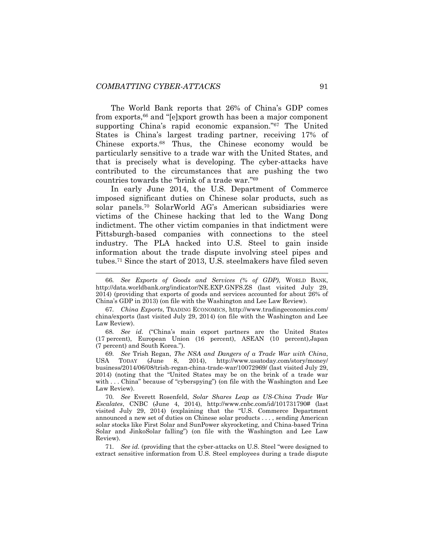The World Bank reports that 26% of China's GDP comes from exports,<sup>66</sup> and "[e]xport growth has been a major component supporting China's rapid economic expansion."<sup>67</sup> The United States is China's largest trading partner, receiving 17% of Chinese exports.<sup>68</sup> Thus, the Chinese economy would be particularly sensitive to a trade war with the United States, and that is precisely what is developing. The cyber-attacks have contributed to the circumstances that are pushing the two countries towards the "brink of a trade war."<sup>69</sup>

<span id="page-19-0"></span>In early June 2014, the U.S. Department of Commerce imposed significant duties on Chinese solar products, such as solar panels.<sup>70</sup> SolarWorld AG's American subsidiaries were victims of the Chinese hacking that led to the Wang Dong indictment. The other victim companies in that indictment were Pittsburgh-based companies with connections to the steel industry. The PLA hacked into U.S. Steel to gain inside information about the trade dispute involving steel pipes and tubes.<sup>71</sup> Since the start of 2013, U.S. steelmakers have filed seven

68*. See id.* ("China's main export partners are the United States (17 percent), European Union (16 percent), ASEAN (10 percent),Japan (7 percent) and South Korea.").

69*. See* Trish Regan, *The NSA and Dangers of a Trade War with China*, USA TODAY (June 8, 2014), http://www.usatoday.com/story/money/ business/2014/06/08/trish-regan-china-trade-war/10072969/ (last visited July 29, 2014) (noting that the "United States may be on the brink of a trade war with . . . China" because of "cyberspying") (on file with the Washington and Lee Law Review).

70*. See* Everett Rosenfeld, *Solar Shares Leap as US-China Trade War Escalates*, CNBC (June 4, 2014), http://www.cnbc.com/id/101731790# (last visited July 29, 2014) (explaining that the "U.S. Commerce Department announced a new set of duties on Chinese solar products . . . , sending American solar stocks like First Solar and SunPower skyrocketing, and China-based Trina Solar and JinkoSolar falling") (on file with the Washington and Lee Law Review).

71*. See id.* (providing that the cyber-attacks on U.S. Steel "were designed to extract sensitive information from U.S. Steel employees during a trade dispute

<sup>66</sup>*. See Exports of Goods and Services (% of GDP)*, WORLD BANK, http://data.worldbank.org/indicator/NE.EXP.GNFS.ZS (last visited July 29, 2014) (providing that exports of goods and services accounted for about 26% of China's GDP in 2013) (on file with the Washington and Lee Law Review).

<sup>67</sup>*. China Exports*, TRADING ECONOMICS, http://www.tradingeconomics.com/ china/exports (last visited July 29, 2014) (on file with the Washington and Lee Law Review).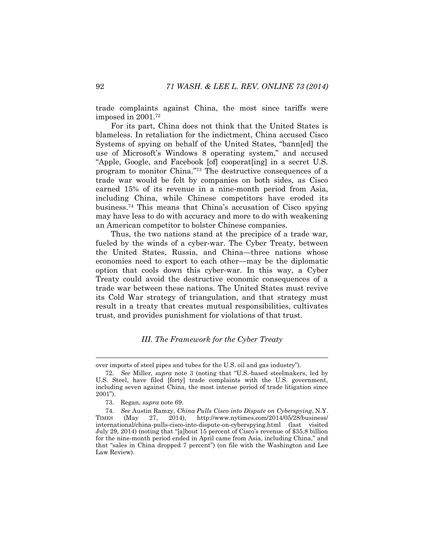trade complaints against China, the most since tariffs were imposed in 2001.<sup>72</sup>

For its part, China does not think that the United States is blameless. In retaliation for the indictment, China accused Cisco Systems of spying on behalf of the United States, "bann[ed] the use of Microsoft's Windows 8 operating system," and accused "Apple, Google, and Facebook [of] cooperat[ing] in a secret U.S. program to monitor China."<sup>73</sup> The destructive consequences of a trade war would be felt by companies on both sides, as Cisco earned 15% of its revenue in a nine-month period from Asia, including China, while Chinese competitors have eroded its business.<sup>74</sup> This means that China's accusation of Cisco spying may have less to do with accuracy and more to do with weakening an American competitor to bolster Chinese companies.

Thus, the two nations stand at the precipice of a trade war, fueled by the winds of a cyber-war. The Cyber Treaty, between the United States, Russia, and China—three nations whose economies need to export to each other—may be the diplomatic option that cools down this cyber-war. In this way, a Cyber Treaty could avoid the destructive economic consequences of a trade war between these nations. The United States must revive its Cold War strategy of triangulation, and that strategy must result in a treaty that creates mutual responsibilities, cultivates trust, and provides punishment for violations of that trust.

#### *III. The Framework for the Cyber Treaty*

over imports of steel pipes and tubes for the U.S. oil and gas industry").

<sup>72</sup>*. See* Miller, *supra* note [3](#page-3-1) (noting that "U.S.-based steelmakers, led by U.S. Steel, have filed [forty] trade complaints with the U.S. government, including seven against China, the most intense period of trade litigation since 2001").

<sup>73.</sup> Regan, *supra* not[e 69.](#page-19-0)

<sup>74</sup>*. See* Austin Ramzy, *China Pulls Cisco into Dispute on Cyberspying*, N.Y. TIMES (May 27, 2014), http://www.nytimes.com/2014/05/28/business/ international/china-pulls-cisco-into-dispute-on-cyberspying.html (last visited July 29, 2014) (noting that "[a]bout 15 percent of Cisco's revenue of \$35.8 billion for the nine-month period ended in April came from Asia, including China," and that "sales in China dropped 7 percent") (on file with the Washington and Lee Law Review).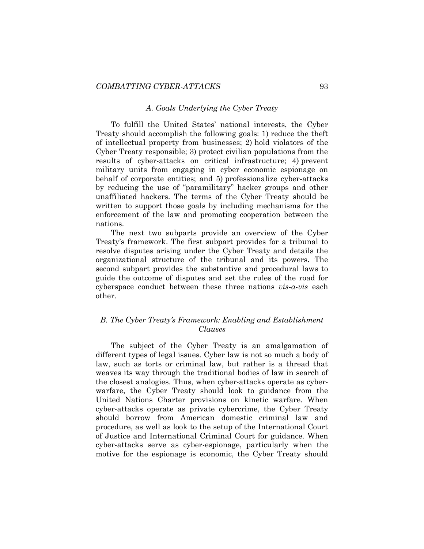#### *A. Goals Underlying the Cyber Treaty*

To fulfill the United States' national interests, the Cyber Treaty should accomplish the following goals: 1) reduce the theft of intellectual property from businesses; 2) hold violators of the Cyber Treaty responsible; 3) protect civilian populations from the results of cyber-attacks on critical infrastructure; 4) prevent military units from engaging in cyber economic espionage on behalf of corporate entities; and 5) professionalize cyber-attacks by reducing the use of "paramilitary" hacker groups and other unaffiliated hackers. The terms of the Cyber Treaty should be written to support those goals by including mechanisms for the enforcement of the law and promoting cooperation between the nations.

The next two subparts provide an overview of the Cyber Treaty's framework. The first subpart provides for a tribunal to resolve disputes arising under the Cyber Treaty and details the organizational structure of the tribunal and its powers. The second subpart provides the substantive and procedural laws to guide the outcome of disputes and set the rules of the road for cyberspace conduct between these three nations *vis-a-vis* each other.

# *B. The Cyber Treaty's Framework: Enabling and Establishment Clauses*

The subject of the Cyber Treaty is an amalgamation of different types of legal issues. Cyber law is not so much a body of law, such as torts or criminal law, but rather is a thread that weaves its way through the traditional bodies of law in search of the closest analogies. Thus, when cyber-attacks operate as cyberwarfare, the Cyber Treaty should look to guidance from the United Nations Charter provisions on kinetic warfare. When cyber-attacks operate as private cybercrime, the Cyber Treaty should borrow from American domestic criminal law and procedure, as well as look to the setup of the International Court of Justice and International Criminal Court for guidance. When cyber-attacks serve as cyber-espionage, particularly when the motive for the espionage is economic, the Cyber Treaty should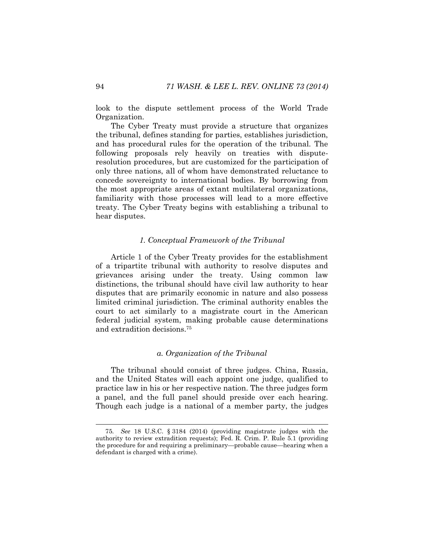look to the dispute settlement process of the World Trade Organization.

The Cyber Treaty must provide a structure that organizes the tribunal, defines standing for parties, establishes jurisdiction, and has procedural rules for the operation of the tribunal. The following proposals rely heavily on treaties with disputeresolution procedures, but are customized for the participation of only three nations, all of whom have demonstrated reluctance to concede sovereignty to international bodies. By borrowing from the most appropriate areas of extant multilateral organizations, familiarity with those processes will lead to a more effective treaty. The Cyber Treaty begins with establishing a tribunal to hear disputes.

#### *1. Conceptual Framework of the Tribunal*

Article 1 of the Cyber Treaty provides for the establishment of a tripartite tribunal with authority to resolve disputes and grievances arising under the treaty. Using common law distinctions, the tribunal should have civil law authority to hear disputes that are primarily economic in nature and also possess limited criminal jurisdiction. The criminal authority enables the court to act similarly to a magistrate court in the American federal judicial system, making probable cause determinations and extradition decisions.<sup>75</sup>

#### *a. Organization of the Tribunal*

The tribunal should consist of three judges. China, Russia, and the United States will each appoint one judge, qualified to practice law in his or her respective nation. The three judges form a panel, and the full panel should preside over each hearing. Though each judge is a national of a member party, the judges

<sup>75</sup>*. See* 18 U.S.C. § 3184 (2014) (providing magistrate judges with the authority to review extradition requests); Fed. R. Crim. P. Rule 5.1 (providing the procedure for and requiring a preliminary—probable cause—hearing when a defendant is charged with a crime).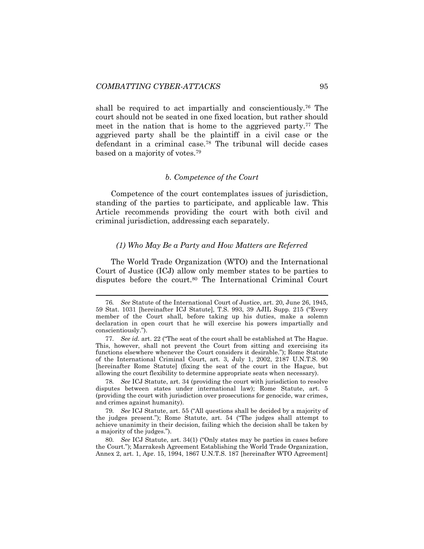l

shall be required to act impartially and conscientiously.<sup>76</sup> The court should not be seated in one fixed location, but rather should meet in the nation that is home to the aggrieved party.<sup>77</sup> The aggrieved party shall be the plaintiff in a civil case or the defendant in a criminal case.<sup>78</sup> The tribunal will decide cases based on a majority of votes.<sup>79</sup>

#### *b. Competence of the Court*

Competence of the court contemplates issues of jurisdiction, standing of the parties to participate, and applicable law. This Article recommends providing the court with both civil and criminal jurisdiction, addressing each separately.

#### *(1) Who May Be a Party and How Matters are Referred*

The World Trade Organization (WTO) and the International Court of Justice (ICJ) allow only member states to be parties to disputes before the court.<sup>80</sup> The International Criminal Court

78*. See* ICJ Statute, art. 34 (providing the court with jurisdiction to resolve disputes between states under international law); Rome Statute, art. 5 (providing the court with jurisdiction over prosecutions for genocide, war crimes, and crimes against humanity).

79*. See* ICJ Statute, art. 55 ("All questions shall be decided by a majority of the judges present."); Rome Statute, art. 54 ("The judges shall attempt to achieve unanimity in their decision, failing which the decision shall be taken by a majority of the judges.").

80*. See* ICJ Statute, art. 34(1) ("Only states may be parties in cases before the Court."); Marrakesh Agreement Establishing the World Trade Organization, Annex 2, art. 1, Apr. 15, 1994, 1867 U.N.T.S. 187 [hereinafter WTO Agreement]

<sup>76</sup>*. See* Statute of the International Court of Justice, art. 20, June 26, 1945, 59 Stat. 1031 [hereinafter ICJ Statute], T.S. 993, 39 AJIL Supp. 215 ("Every member of the Court shall, before taking up his duties, make a solemn declaration in open court that he will exercise his powers impartially and conscientiously.").

<sup>77</sup>*. See id.* art. 22 ("The seat of the court shall be established at The Hague. This, however, shall not prevent the Court from sitting and exercising its functions elsewhere whenever the Court considers it desirable."); Rome Statute of the International Criminal Court, art. 3, July 1, 2002, 2187 U.N.T.S. 90 [hereinafter Rome Statute] (fixing the seat of the court in the Hague, but allowing the court flexibility to determine appropriate seats when necessary).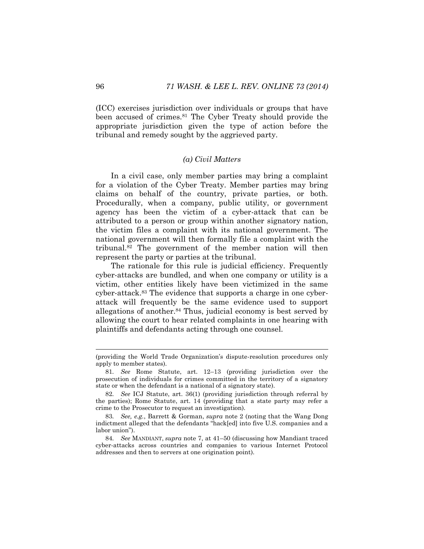(ICC) exercises jurisdiction over individuals or groups that have been accused of crimes.<sup>81</sup> The Cyber Treaty should provide the appropriate jurisdiction given the type of action before the tribunal and remedy sought by the aggrieved party.

#### *(a) Civil Matters*

In a civil case, only member parties may bring a complaint for a violation of the Cyber Treaty. Member parties may bring claims on behalf of the country, private parties, or both. Procedurally, when a company, public utility, or government agency has been the victim of a cyber-attack that can be attributed to a person or group within another signatory nation, the victim files a complaint with its national government. The national government will then formally file a complaint with the tribunal.<sup>82</sup> The government of the member nation will then represent the party or parties at the tribunal.

The rationale for this rule is judicial efficiency. Frequently cyber-attacks are bundled, and when one company or utility is a victim, other entities likely have been victimized in the same cyber-attack.<sup>83</sup> The evidence that supports a charge in one cyberattack will frequently be the same evidence used to support allegations of another.<sup>84</sup> Thus, judicial economy is best served by allowing the court to hear related complaints in one hearing with plaintiffs and defendants acting through one counsel.

<sup>(</sup>providing the World Trade Organization's dispute-resolution procedures only apply to member states).

<sup>81</sup>*. See* Rome Statute, art. 12–13 (providing jurisdiction over the prosecution of individuals for crimes committed in the territory of a signatory state or when the defendant is a national of a signatory state).

<sup>82</sup>*. See* ICJ Statute, art. 36(1) (providing jurisdiction through referral by the parties); Rome Statute, art. 14 (providing that a state party may refer a crime to the Prosecutor to request an investigation).

<sup>83</sup>*. See, e.g.*, Barrett & Gorman, *supra* note [2](#page-3-0) (noting that the Wang Dong indictment alleged that the defendants "hack[ed] into five U.S. companies and a labor union").

<sup>84</sup>*. See* MANDIANT, *supra* note [7,](#page-4-0) at 41–50 (discussing how Mandiant traced cyber-attacks across countries and companies to various Internet Protocol addresses and then to servers at one origination point).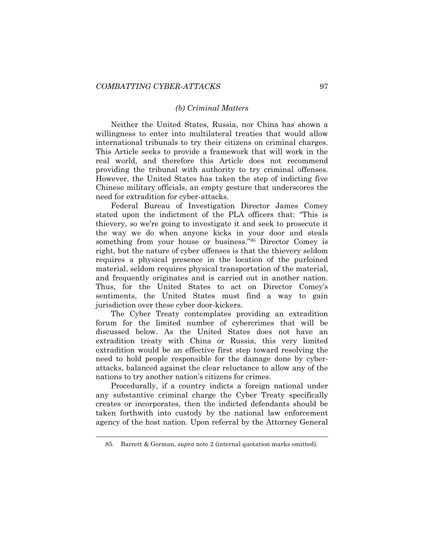#### *(b) Criminal Matters*

Neither the United States, Russia, nor China has shown a willingness to enter into multilateral treaties that would allow international tribunals to try their citizens on criminal charges. This Article seeks to provide a framework that will work in the real world, and therefore this Article does not recommend providing the tribunal with authority to try criminal offenses. However, the United States has taken the step of indicting five Chinese military officials, an empty gesture that underscores the need for extradition for cyber-attacks.

Federal Bureau of Investigation Director James Comey stated upon the indictment of the PLA officers that: "This is thievery, so we're going to investigate it and seek to prosecute it the way we do when anyone kicks in your door and steals something from your house or business."<sup>85</sup> Director Comey is right, but the nature of cyber offenses is that the thievery seldom requires a physical presence in the location of the purloined material, seldom requires physical transportation of the material, and frequently originates and is carried out in another nation. Thus, for the United States to act on Director Comey's sentiments, the United States must find a way to gain jurisdiction over these cyber door-kickers.

The Cyber Treaty contemplates providing an extradition forum for the limited number of cybercrimes that will be discussed below. As the United States does not have an extradition treaty with China or Russia, this very limited extradition would be an effective first step toward resolving the need to hold people responsible for the damage done by cyberattacks, balanced against the clear reluctance to allow any of the nations to try another nation's citizens for crimes.

Procedurally, if a country indicts a foreign national under any substantive criminal charge the Cyber Treaty specifically creates or incorporates, then the indicted defendants should be taken forthwith into custody by the national law enforcement agency of the host nation. Upon referral by the Attorney General

<sup>85.</sup> Barrett & Gorman, *supra* note [2](#page-3-0) (internal quotation marks omitted).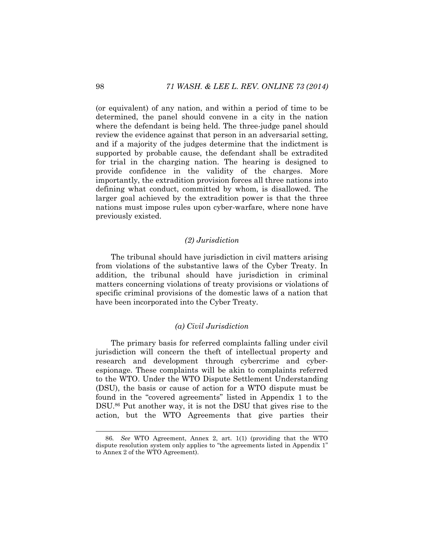(or equivalent) of any nation, and within a period of time to be determined, the panel should convene in a city in the nation where the defendant is being held. The three-judge panel should review the evidence against that person in an adversarial setting, and if a majority of the judges determine that the indictment is supported by probable cause, the defendant shall be extradited for trial in the charging nation. The hearing is designed to provide confidence in the validity of the charges. More importantly, the extradition provision forces all three nations into defining what conduct, committed by whom, is disallowed. The larger goal achieved by the extradition power is that the three nations must impose rules upon cyber-warfare, where none have previously existed.

# *(2) Jurisdiction*

The tribunal should have jurisdiction in civil matters arising from violations of the substantive laws of the Cyber Treaty. In addition, the tribunal should have jurisdiction in criminal matters concerning violations of treaty provisions or violations of specific criminal provisions of the domestic laws of a nation that have been incorporated into the Cyber Treaty.

#### *(a) Civil Jurisdiction*

The primary basis for referred complaints falling under civil jurisdiction will concern the theft of intellectual property and research and development through cybercrime and cyberespionage. These complaints will be akin to complaints referred to the WTO. Under the WTO Dispute Settlement Understanding (DSU), the basis or cause of action for a WTO dispute must be found in the "covered agreements" listed in Appendix 1 to the DSU.<sup>86</sup> Put another way, it is not the DSU that gives rise to the action, but the WTO Agreements that give parties their

<sup>86</sup>*. See* WTO Agreement, Annex 2, art. 1(1) (providing that the WTO dispute resolution system only applies to "the agreements listed in Appendix 1" to Annex 2 of the WTO Agreement).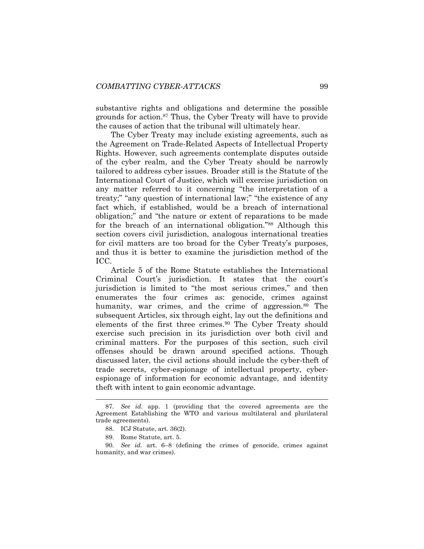substantive rights and obligations and determine the possible grounds for action.<sup>87</sup> Thus, the Cyber Treaty will have to provide the causes of action that the tribunal will ultimately hear.

The Cyber Treaty may include existing agreements, such as the Agreement on Trade-Related Aspects of Intellectual Property Rights. However, such agreements contemplate disputes outside of the cyber realm, and the Cyber Treaty should be narrowly tailored to address cyber issues. Broader still is the Statute of the International Court of Justice, which will exercise jurisdiction on any matter referred to it concerning "the interpretation of a treaty;" "any question of international law;" "the existence of any fact which, if established, would be a breach of international obligation;" and "the nature or extent of reparations to be made for the breach of an international obligation."<sup>88</sup> Although this section covers civil jurisdiction, analogous international treaties for civil matters are too broad for the Cyber Treaty's purposes, and thus it is better to examine the jurisdiction method of the ICC.

Article 5 of the Rome Statute establishes the International Criminal Court's jurisdiction. It states that the court's jurisdiction is limited to "the most serious crimes," and then enumerates the four crimes as: genocide, crimes against humanity, war crimes, and the crime of aggression.<sup>89</sup> The subsequent Articles, six through eight, lay out the definitions and elements of the first three crimes.<sup>90</sup> The Cyber Treaty should exercise such precision in its jurisdiction over both civil and criminal matters. For the purposes of this section, such civil offenses should be drawn around specified actions. Though discussed later, the civil actions should include the cyber-theft of trade secrets, cyber-espionage of intellectual property, cyberespionage of information for economic advantage, and identity theft with intent to gain economic advantage.

<sup>87</sup>*. See id.* app. 1 (providing that the covered agreements are the Agreement Establishing the WTO and various multilateral and plurilateral trade agreements).

<sup>88.</sup> ICJ Statute, art. 36(2).

<sup>89.</sup> Rome Statute, art. 5.

<sup>90</sup>*. See id.* art. 6–8 (defining the crimes of genocide, crimes against humanity, and war crimes).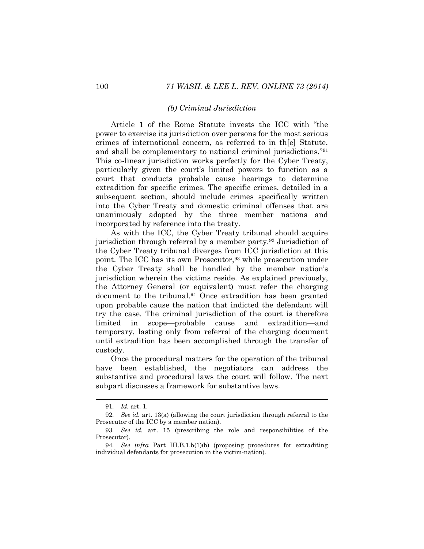#### *(b) Criminal Jurisdiction*

Article 1 of the Rome Statute invests the ICC with "the power to exercise its jurisdiction over persons for the most serious crimes of international concern, as referred to in th[e] Statute, and shall be complementary to national criminal jurisdictions."<sup>91</sup> This co-linear jurisdiction works perfectly for the Cyber Treaty, particularly given the court's limited powers to function as a court that conducts probable cause hearings to determine extradition for specific crimes. The specific crimes, detailed in a subsequent section, should include crimes specifically written into the Cyber Treaty and domestic criminal offenses that are unanimously adopted by the three member nations and incorporated by reference into the treaty.

As with the ICC, the Cyber Treaty tribunal should acquire jurisdiction through referral by a member party.<sup>92</sup> Jurisdiction of the Cyber Treaty tribunal diverges from ICC jurisdiction at this point. The ICC has its own Prosecutor,<sup>93</sup> while prosecution under the Cyber Treaty shall be handled by the member nation's jurisdiction wherein the victims reside. As explained previously, the Attorney General (or equivalent) must refer the charging document to the tribunal.<sup>94</sup> Once extradition has been granted upon probable cause the nation that indicted the defendant will try the case. The criminal jurisdiction of the court is therefore limited in scope—probable cause and extradition—and temporary, lasting only from referral of the charging document until extradition has been accomplished through the transfer of custody.

Once the procedural matters for the operation of the tribunal have been established, the negotiators can address the substantive and procedural laws the court will follow. The next subpart discusses a framework for substantive laws.

<sup>91</sup>*. Id.* art. 1.

<sup>92</sup>*. See id.* art. 13(a) (allowing the court jurisdiction through referral to the Prosecutor of the ICC by a member nation).

<sup>93</sup>*. See id.* art. 15 (prescribing the role and responsibilities of the Prosecutor).

<sup>94</sup>*. See infra* Part III.B.1.b(1)(b) (proposing procedures for extraditing individual defendants for prosecution in the victim-nation).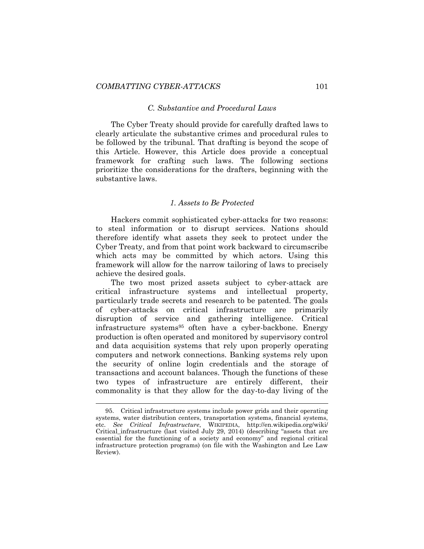#### *C. Substantive and Procedural Laws*

The Cyber Treaty should provide for carefully drafted laws to clearly articulate the substantive crimes and procedural rules to be followed by the tribunal. That drafting is beyond the scope of this Article. However, this Article does provide a conceptual framework for crafting such laws. The following sections prioritize the considerations for the drafters, beginning with the substantive laws.

#### *1. Assets to Be Protected*

Hackers commit sophisticated cyber-attacks for two reasons: to steal information or to disrupt services. Nations should therefore identify what assets they seek to protect under the Cyber Treaty, and from that point work backward to circumscribe which acts may be committed by which actors. Using this framework will allow for the narrow tailoring of laws to precisely achieve the desired goals.

The two most prized assets subject to cyber-attack are critical infrastructure systems and intellectual property, particularly trade secrets and research to be patented. The goals of cyber-attacks on critical infrastructure are primarily disruption of service and gathering intelligence. Critical infrastructure systems<sup>95</sup> often have a cyber-backbone. Energy production is often operated and monitored by supervisory control and data acquisition systems that rely upon properly operating computers and network connections. Banking systems rely upon the security of online login credentials and the storage of transactions and account balances. Though the functions of these two types of infrastructure are entirely different, their commonality is that they allow for the day-to-day living of the

<sup>95.</sup> Critical infrastructure systems include power grids and their operating systems, water distribution centers, transportation systems, financial systems, etc. *See Critical Infrastructure*, WIKIPEDIA, http://en.wikipedia.org/wiki/ Critical\_infrastructure (last visited July 29, 2014) (describing "assets that are essential for the functioning of a society and economy" and regional critical infrastructure protection programs) (on file with the Washington and Lee Law Review).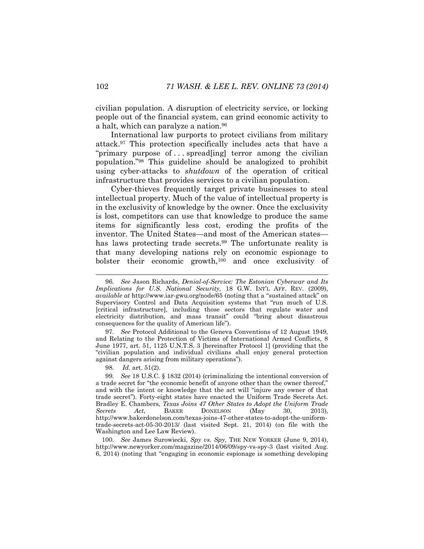civilian population. A disruption of electricity service, or locking people out of the financial system, can grind economic activity to a halt, which can paralyze a nation.<sup>96</sup>

International law purports to protect civilians from military attack.<sup>97</sup> This protection specifically includes acts that have a "primary purpose of . . . spread[ing] terror among the civilian population."<sup>98</sup> This guideline should be analogized to prohibit using cyber-attacks to *shutdown* of the operation of critical infrastructure that provides services to a civilian population.

Cyber-thieves frequently target private businesses to steal intellectual property. Much of the value of intellectual property is in the exclusivity of knowledge by the owner. Once the exclusivity is lost, competitors can use that knowledge to produce the same items for significantly less cost, eroding the profits of the inventor. The United States—and most of the American states has laws protecting trade secrets.<sup>99</sup> The unfortunate reality is that many developing nations rely on economic espionage to bolster their economic growth,<sup>100</sup> and once exclusivity of

97*. See* Protocol Additional to the Geneva Conventions of 12 August 1949, and Relating to the Protection of Victims of International Armed Conflicts, 8 June 1977, art. 51, 1125 U.N.T.S. 3 [hereinafter Protocol 1] (providing that the "civilian population and individual civilians shall enjoy general protection against dangers arising from military operations").

98. *Id.* art. 51(2).

100*. See* James Surowiecki, *Spy vs. Spy,* THE NEW YORKER (June 9, 2014), http://www.newyorker.com/magazine/2014/06/09/spy-vs-spy-3 (last visited Aug. 6, 2014) (noting that "engaging in economic espionage is something developing

<sup>96</sup>*. See* Jason Richards, *Denial-of-Service: The Estonian Cyberwar and Its Implications for U.S. National Security,* 18 G.W. INT'L AFF. REV. (2009), *available at* http://www.iar-gwu.org/node/65 (noting that a "sustained attack" on Supervisory Control and Data Acquisition systems that "run much of U.S. [critical infrastructure], including those sectors that regulate water and electricity distribution, and mass transit" could "bring about disastrous consequences for the quality of American life").

<sup>99</sup>*. See* 18 U.S.C. § 1832 (2014) (criminalizing the intentional conversion of a trade secret for "the economic benefit of anyone other than the owner thereof," and with the intent or knowledge that the act will "injure any owner of that trade secret"). Forty-eight states have enacted the Uniform Trade Secrets Act. Bradley E. Chambers, *Texas Joins 47 Other States to Adopt the Uniform Trade Secrets Act*, BAKER DONELSON (May 30, 2013), http://www.bakerdonelson.com/texas-joins-47-other-states-to-adopt-the-uniformtrade-secrets-act-05-30-2013/ (last visited Sept. 21, 2014) (on file with the Washington and Lee Law Review).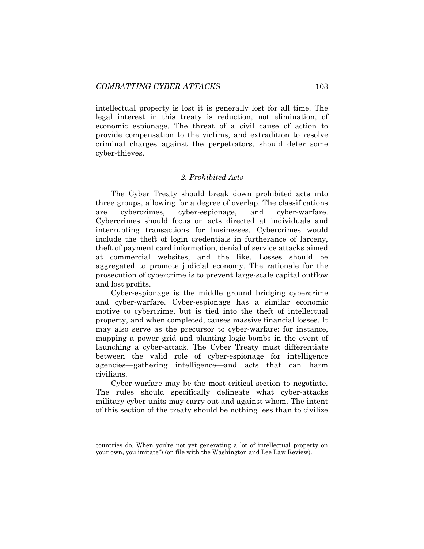intellectual property is lost it is generally lost for all time. The legal interest in this treaty is reduction, not elimination, of economic espionage. The threat of a civil cause of action to provide compensation to the victims, and extradition to resolve criminal charges against the perpetrators, should deter some cyber-thieves.

#### *2. Prohibited Acts*

The Cyber Treaty should break down prohibited acts into three groups, allowing for a degree of overlap. The classifications are cybercrimes, cyber-espionage, and cyber-warfare. Cybercrimes should focus on acts directed at individuals and interrupting transactions for businesses. Cybercrimes would include the theft of login credentials in furtherance of larceny, theft of payment card information, denial of service attacks aimed at commercial websites, and the like. Losses should be aggregated to promote judicial economy. The rationale for the prosecution of cybercrime is to prevent large-scale capital outflow and lost profits.

Cyber-espionage is the middle ground bridging cybercrime and cyber-warfare. Cyber-espionage has a similar economic motive to cybercrime, but is tied into the theft of intellectual property, and when completed, causes massive financial losses. It may also serve as the precursor to cyber-warfare: for instance, mapping a power grid and planting logic bombs in the event of launching a cyber-attack. The Cyber Treaty must differentiate between the valid role of cyber-espionage for intelligence agencies—gathering intelligence—and acts that can harm civilians.

Cyber-warfare may be the most critical section to negotiate. The rules should specifically delineate what cyber-attacks military cyber-units may carry out and against whom. The intent of this section of the treaty should be nothing less than to civilize

countries do. When you're not yet generating a lot of intellectual property on your own, you imitate") (on file with the Washington and Lee Law Review).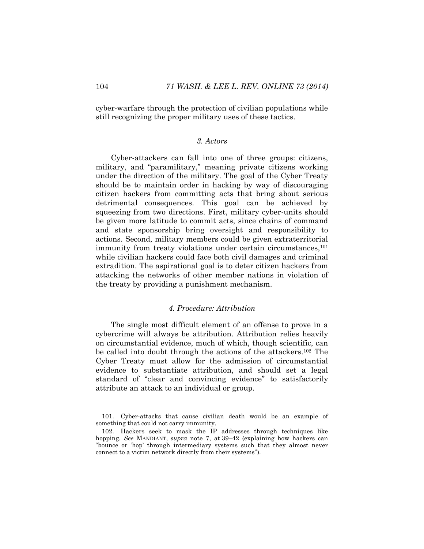cyber-warfare through the protection of civilian populations while still recognizing the proper military uses of these tactics.

# *3. Actors*

Cyber-attackers can fall into one of three groups: citizens, military, and "paramilitary," meaning private citizens working under the direction of the military. The goal of the Cyber Treaty should be to maintain order in hacking by way of discouraging citizen hackers from committing acts that bring about serious detrimental consequences. This goal can be achieved by squeezing from two directions. First, military cyber-units should be given more latitude to commit acts, since chains of command and state sponsorship bring oversight and responsibility to actions. Second, military members could be given extraterritorial immunity from treaty violations under certain circumstances,<sup>101</sup> while civilian hackers could face both civil damages and criminal extradition. The aspirational goal is to deter citizen hackers from attacking the networks of other member nations in violation of the treaty by providing a punishment mechanism.

### *4. Procedure: Attribution*

The single most difficult element of an offense to prove in a cybercrime will always be attribution. Attribution relies heavily on circumstantial evidence, much of which, though scientific, can be called into doubt through the actions of the attackers.<sup>102</sup> The Cyber Treaty must allow for the admission of circumstantial evidence to substantiate attribution, and should set a legal standard of "clear and convincing evidence" to satisfactorily attribute an attack to an individual or group.

<sup>101.</sup> Cyber-attacks that cause civilian death would be an example of something that could not carry immunity.

<sup>102.</sup> Hackers seek to mask the IP addresses through techniques like hopping. *See* MANDIANT, *supra* note [7,](#page-4-0) at 39–42 (explaining how hackers can "bounce or 'hop' through intermediary systems such that they almost never connect to a victim network directly from their systems").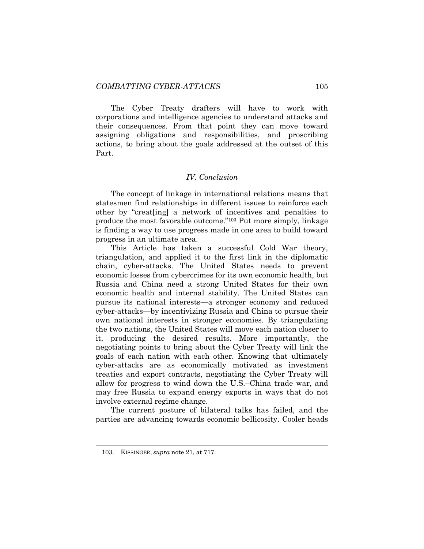The Cyber Treaty drafters will have to work with corporations and intelligence agencies to understand attacks and their consequences. From that point they can move toward assigning obligations and responsibilities, and proscribing actions, to bring about the goals addressed at the outset of this Part.

#### *IV. Conclusion*

The concept of linkage in international relations means that statesmen find relationships in different issues to reinforce each other by "creat[ing] a network of incentives and penalties to produce the most favorable outcome."<sup>103</sup> Put more simply, linkage is finding a way to use progress made in one area to build toward progress in an ultimate area.

This Article has taken a successful Cold War theory, triangulation, and applied it to the first link in the diplomatic chain, cyber-attacks. The United States needs to prevent economic losses from cybercrimes for its own economic health, but Russia and China need a strong United States for their own economic health and internal stability. The United States can pursue its national interests—a stronger economy and reduced cyber-attacks—by incentivizing Russia and China to pursue their own national interests in stronger economies. By triangulating the two nations, the United States will move each nation closer to it, producing the desired results. More importantly, the negotiating points to bring about the Cyber Treaty will link the goals of each nation with each other. Knowing that ultimately cyber-attacks are as economically motivated as investment treaties and export contracts, negotiating the Cyber Treaty will allow for progress to wind down the U.S.–China trade war, and may free Russia to expand energy exports in ways that do not involve external regime change.

The current posture of bilateral talks has failed, and the parties are advancing towards economic bellicosity. Cooler heads

<sup>103.</sup> KISSINGER, *supra* note [21,](#page-8-1) at 717.